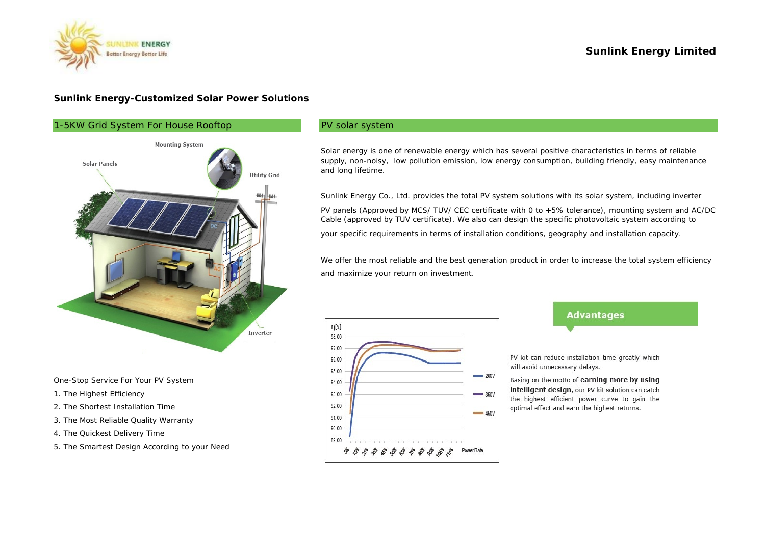

#### **Sunlink Energy-Customized Solar Power Solutions**



One-Stop Service For Your PV System

- 1. The Highest Efficiency
- 2. The Shortest Installation Time
- 3. The Most Reliable Quality Warranty
- 4. The Quickest Delivery Time
- 5. The Smartest Design According to your Need

#### PV solar system

Solar energy is one of renewable energy which has several positive characteristics in terms of reliable supply, non-noisy, low pollution emission, low energy consumption, building friendly, easy maintenance and long lifetime.

your specific requirements in terms of installation conditions, geography and installation capacity. Sunlink Energy Co., Ltd. provides the total PV system solutions with its solar system, including inverter PV panels (Approved by MCS/ TUV/ CEC certificate with 0 to +5% tolerance), mounting system and AC/DC Cable (approved by TUV certificate). We also can design the specific photovoltaic system according to

We offer the most reliable and the best generation product in order to increase the total system efficiency and maximize your return on investment.



# **Advantages**

PV kit can reduce installation time greatly which will avoid unnecessary delays.

Basing on the motto of earning more by using intelligent design, our PV kit solution can catch the highest efficient power curve to gain the optimal effect and earn the highest returns.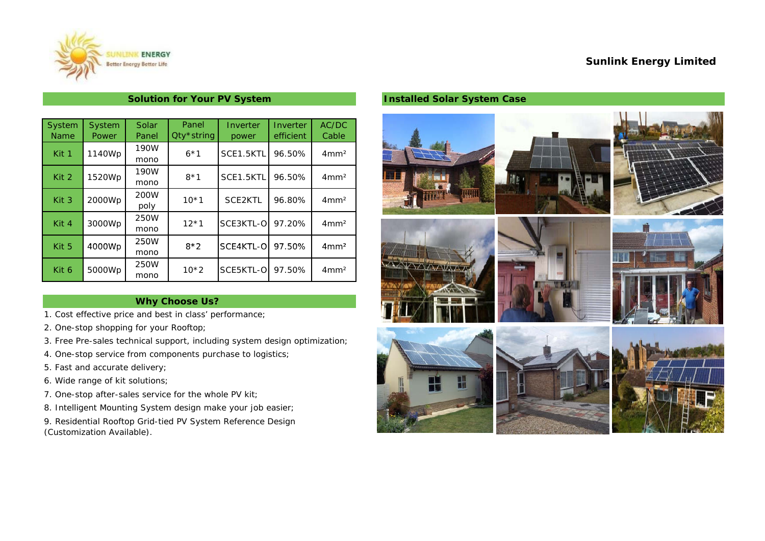### **Sunlink Energy Limited**



# **Solution for Your PV System**

| System           | System       | Solar | Panel      | Inverter  | Inverter  | AC/DC            |
|------------------|--------------|-------|------------|-----------|-----------|------------------|
| <b>Name</b>      | <b>Power</b> | Panel | Qty*string | power     | efficient | Cable            |
| Kit 1            | 1140Wp       | 190W  | $6*1$      | SCE1.5KTL | 96.50%    | 4mm <sup>2</sup> |
|                  |              | mono  |            |           |           |                  |
| Kit 2            | 1520Wp       | 190W  | $8*1$      | SCE1.5KTL | 96.50%    | 4mm <sup>2</sup> |
|                  |              | mono  |            |           |           |                  |
| Kit <sub>3</sub> | 2000Wp       | 200W  | $10*1$     | SCE2KTL   | 96.80%    | 4mm <sup>2</sup> |
|                  |              | poly  |            |           |           |                  |
| Kit 4            |              | 250W  | $12*1$     | SCE3KTL-O | 97.20%    | 4mm <sup>2</sup> |
|                  | 3000Wp       | mono  |            |           |           |                  |
| Kit 5            |              | 250W  | $8*2$      | SCE4KTL-O | 97.50%    | 4mm <sup>2</sup> |
|                  | 4000Wp       | mono  |            |           |           |                  |
|                  |              | 250W  |            |           |           |                  |
| Kit 6            | 5000Wp       | mono  | $10*2$     | SCE5KTL-O | 97.50%    | 4mm <sup>2</sup> |

### **Why Choose Us?**

- 1. Cost effective price and best in class' performance;
- 2. One-stop shopping for your Rooftop;
- 3. Free Pre-sales technical support, including system design optimization;
- 4. One-stop service from components purchase to logistics;
- 5. Fast and accurate delivery;
- 6. Wide range of kit solutions;
- 7. One-stop after-sales service for the whole PV kit;
- 8. Intelligent Mounting System design make your job easier;
- 9. Residential Rooftop Grid-tied PV System Reference Design (Customization Available).

## **Installed Solar System Case**

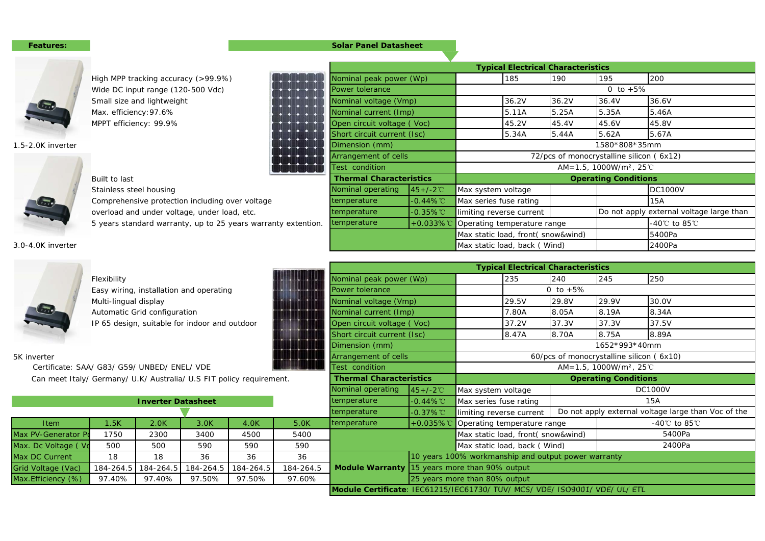#### **Features:Solar Panel Datasheet**



| High MPP tracking accuracy (>99.9%)             |                   |                                                               | 185                                                                                                                                                                                              | 190   | 195                                                                                              | 200                                                                                                                                                                           |
|-------------------------------------------------|-------------------|---------------------------------------------------------------|--------------------------------------------------------------------------------------------------------------------------------------------------------------------------------------------------|-------|--------------------------------------------------------------------------------------------------|-------------------------------------------------------------------------------------------------------------------------------------------------------------------------------|
| Wide DC input range (120-500 Vdc)               | Power tolerance   |                                                               |                                                                                                                                                                                                  |       | 0 to $+5%$                                                                                       |                                                                                                                                                                               |
| Small size and lightweight                      |                   |                                                               | 36.2V                                                                                                                                                                                            | 36.2V | 36.4V                                                                                            | 36.6V                                                                                                                                                                         |
| Max. efficiency: 97.6%                          |                   |                                                               | 5.11A                                                                                                                                                                                            | 5.25A | 5.35A                                                                                            | 5.46A                                                                                                                                                                         |
| MPPT efficiency: 99.9%                          |                   |                                                               | 45.2V                                                                                                                                                                                            | 45.4V | 45.6V                                                                                            | 45.8V                                                                                                                                                                         |
|                                                 |                   |                                                               | 5.34A                                                                                                                                                                                            | 5.44A | 5.62A                                                                                            | 5.67A                                                                                                                                                                         |
|                                                 | Dimension (mm)    |                                                               |                                                                                                                                                                                                  |       |                                                                                                  |                                                                                                                                                                               |
|                                                 |                   |                                                               |                                                                                                                                                                                                  |       |                                                                                                  |                                                                                                                                                                               |
|                                                 | Test condition    |                                                               |                                                                                                                                                                                                  |       |                                                                                                  |                                                                                                                                                                               |
| Built to last                                   |                   |                                                               |                                                                                                                                                                                                  |       |                                                                                                  |                                                                                                                                                                               |
| Stainless steel housing                         | Nominal operating | $45 + (-2^{\circ}C)$                                          | Max system voltage                                                                                                                                                                               |       |                                                                                                  | <b>DC1000V</b>                                                                                                                                                                |
| Comprehensive protection including over voltage | temperature       | $-0.44\%$ °C                                                  | Max series fuse rating                                                                                                                                                                           |       |                                                                                                  | 15A                                                                                                                                                                           |
| overload and under voltage, under load, etc.    | temperature       | $-0.35\%$ °C                                                  | limiting reverse current                                                                                                                                                                         |       |                                                                                                  | Do not apply external voltage large than                                                                                                                                      |
|                                                 | temperature       | $+0.033\%$ °C                                                 |                                                                                                                                                                                                  |       |                                                                                                  | -40℃ to 85℃                                                                                                                                                                   |
|                                                 |                   |                                                               |                                                                                                                                                                                                  |       |                                                                                                  | 5400Pa                                                                                                                                                                        |
|                                                 |                   |                                                               |                                                                                                                                                                                                  |       |                                                                                                  | 2400Pa                                                                                                                                                                        |
|                                                 |                   | 5 years standard warranty, up to 25 years warranty extention. | Nominal peak power (Wp)<br>Nominal voltage (Vmp)<br>Nominal current (Imp)<br>Open circuit voltage (Voc)<br>Short circuit current (Isc)<br>Arrangement of cells<br><b>Thermal Characteristics</b> |       | Operating temperature range<br>Max static load, front(snow&wind)<br>Max static load, back (Wind) | <b>Typical Electrical Characteristics</b><br>1580*808*35mm<br>72/pcs of monocrystalline silicon (6x12)<br>AM=1.5, 1000W/m <sup>2</sup> , 25 °C<br><b>Operating Conditions</b> |

| 3.0-4.0K inverter                                                    |                       |                              |                                               |           |                   |                                |                             | Max static load, back (Wind)                                                |                                          |                                                     | 2400Pa                            |
|----------------------------------------------------------------------|-----------------------|------------------------------|-----------------------------------------------|-----------|-------------------|--------------------------------|-----------------------------|-----------------------------------------------------------------------------|------------------------------------------|-----------------------------------------------------|-----------------------------------|
|                                                                      |                       |                              |                                               |           |                   |                                |                             | <b>Typical Electrical Characteristics</b>                                   |                                          |                                                     |                                   |
|                                                                      | Flexibility           |                              |                                               |           |                   | Nominal peak power (Wp)        |                             | 235                                                                         | 240                                      | 245                                                 | 250                               |
|                                                                      |                       |                              | Easy wiring, installation and operating       |           |                   | Power tolerance                |                             |                                                                             | 0 to $+5%$                               |                                                     |                                   |
|                                                                      | Multi-lingual display |                              |                                               |           |                   | Nominal voltage (Vmp)          |                             | 29.5V                                                                       | 29.8V                                    | 29.9V                                               | 30.0V                             |
|                                                                      |                       | Automatic Grid configuration |                                               |           |                   | Nominal current (Imp)          |                             | 7.80A                                                                       | 8.05A                                    | 8.19A                                               | 8.34A                             |
|                                                                      |                       |                              | IP 65 design, suitable for indoor and outdoor |           |                   | Open circuit voltage (Voc)     |                             | 37.2V                                                                       | 37.3V                                    | 37.3V                                               | 37.5V                             |
|                                                                      |                       |                              |                                               |           |                   | Short circuit current (Isc)    |                             | 8.47A                                                                       | 8.70A                                    | 8.75A                                               | 8.89A                             |
|                                                                      |                       |                              |                                               |           |                   | Dimension (mm)                 |                             |                                                                             |                                          | 1652*993*40mm                                       |                                   |
| 5K inverter                                                          |                       |                              |                                               |           |                   | Arrangement of cells           |                             |                                                                             | 60/pcs of monocrystalline silicon (6x10) |                                                     |                                   |
| Certificate: SAA/ G83/ G59/ UNBED/ ENEL/ VDE                         |                       |                              |                                               |           |                   | Test condition                 |                             |                                                                             |                                          | AM=1.5, 1000W/m <sup>2</sup> , 25 °C                |                                   |
| Can meet Italy/ Germany/ U.K/ Australia/ U.S FIT policy requirement. |                       |                              |                                               |           |                   | <b>Thermal Characteristics</b> | <b>Operating Conditions</b> |                                                                             |                                          |                                                     |                                   |
|                                                                      |                       |                              |                                               |           | Nominal operating | $45+/-2^{\circ}$               | Max system voltage          |                                                                             | <b>DC1000V</b>                           |                                                     |                                   |
| <b>Inverter Datasheet</b>                                            |                       |                              |                                               |           |                   | temperature                    | $-0.44\%$ °C                | Max series fuse rating                                                      |                                          | 15A                                                 |                                   |
|                                                                      |                       |                              |                                               |           |                   | temperature                    | $-0.37\%$ °C                | limiting reverse current                                                    |                                          | Do not apply external voltage large than Voc of the |                                   |
| <b>Item</b>                                                          | 1.5K                  | 2.0K                         | 3.0K                                          | 4.0K      | 5.0K              | temperature                    | $+0.035\%$ °C               | Operating temperature range                                                 |                                          |                                                     | -40 $\degree$ C to 85 $\degree$ C |
| Max PV-Generator Po                                                  | 1750                  | 2300                         | 3400                                          | 4500      | 5400              |                                |                             | Max static load, front(snow&wind)                                           |                                          |                                                     | 5400Pa                            |
| Max. Dc Voltage ( Vo                                                 | 500                   | 500                          | 590                                           | 590       | 590               |                                |                             | Max static load, back (Wind)                                                |                                          |                                                     | 2400Pa                            |
| Max DC Current                                                       | 18                    | 18                           | 36                                            | 36        | 36                |                                |                             | 10 years 100% workmanship and output power warranty                         |                                          |                                                     |                                   |
| Grid Voltage (Vac)                                                   | 184-264.5             | 184-264.5                    | 184-264.5                                     | 184-264.5 | 184-264.5         |                                |                             | Module Warranty 15 years more than 90% output                               |                                          |                                                     |                                   |
| Max. Efficiency (%)                                                  | 97.40%                | 97.40%                       | 97.50%                                        | 97.50%    | 97.60%            |                                |                             | 25 years more than 80% output                                               |                                          |                                                     |                                   |
|                                                                      |                       |                              |                                               |           |                   |                                |                             | Module Certificate: IEC61215/IEC61730/ TUV/ MCS/ VDE/ ISO9001/ VDE/ UL/ ETL |                                          |                                                     |                                   |